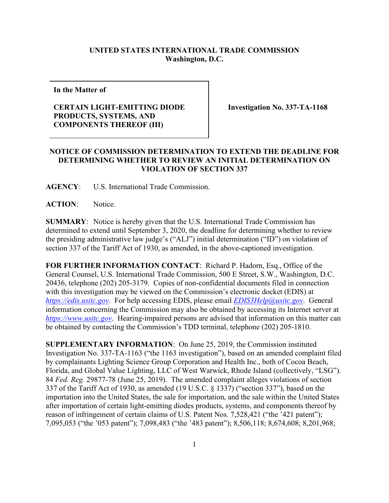## **UNITED STATES INTERNATIONAL TRADE COMMISSION Washington, D.C.**

**In the Matter of**

## **CERTAIN LIGHT-EMITTING DIODE PRODUCTS, SYSTEMS, AND COMPONENTS THEREOF (III)**

**Investigation No. 337-TA-1168**

## **NOTICE OF COMMISSION DETERMINATION TO EXTEND THE DEADLINE FOR DETERMINING WHETHER TO REVIEW AN INITIAL DETERMINATION ON VIOLATION OF SECTION 337**

**AGENCY**: U.S. International Trade Commission.

**ACTION**: Notice.

**SUMMARY**: Notice is hereby given that the U.S. International Trade Commission has determined to extend until September 3, 2020, the deadline for determining whether to review the presiding administrative law judge's ("ALJ") initial determination ("ID") on violation of section 337 of the Tariff Act of 1930, as amended, in the above-captioned investigation.

**FOR FURTHER INFORMATION CONTACT**: Richard P. Hadorn, Esq., Office of the General Counsel, U.S. International Trade Commission, 500 E Street, S.W., Washington, D.C. 20436, telephone (202) 205-3179. Copies of non-confidential documents filed in connection with this investigation may be viewed on the Commission's electronic docket (EDIS) at *[https://edis.usitc.gov](https://edis.usitc.gov/)*. For help accessing EDIS, please email *[EDIS3Help@usitc.gov](mailto:EDIS3Help@usitc.gov)*. General information concerning the Commission may also be obtained by accessing its Internet server at *[https://www.usitc.gov](https://www.usitc.gov/)*. Hearing-impaired persons are advised that information on this matter can be obtained by contacting the Commission's TDD terminal, telephone (202) 205-1810.

**SUPPLEMENTARY INFORMATION**: On June 25, 2019, the Commission instituted Investigation No. 337-TA-1163 ("the 1163 investigation"), based on an amended complaint filed by complainants Lighting Science Group Corporation and Health Inc., both of Cocoa Beach, Florida, and Global Value Lighting, LLC of West Warwick, Rhode Island (collectively, "LSG"). 84 *Fed. Reg.* 29877-78 (June 25, 2019). The amended complaint alleges violations of section 337 of the Tariff Act of 1930, as amended (19 U.S.C. § 1337) ("section 337"), based on the importation into the United States, the sale for importation, and the sale within the United States after importation of certain light-emitting diodes products, systems, and components thereof by reason of infringement of certain claims of U.S. Patent Nos. 7,528,421 ("the '421 patent"); 7,095,053 ("the '053 patent"); 7,098,483 ("the '483 patent"); 8,506,118; 8,674,608; 8,201,968;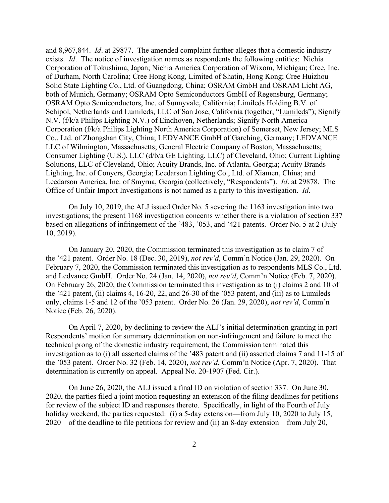and 8,967,844. *Id*. at 29877. The amended complaint further alleges that a domestic industry exists. *Id*. The notice of investigation names as respondents the following entities: Nichia Corporation of Tokushima, Japan; Nichia America Corporation of Wixom, Michigan; Cree, Inc. of Durham, North Carolina; Cree Hong Kong, Limited of Shatin, Hong Kong; Cree Huizhou Solid State Lighting Co., Ltd. of Guangdong, China; OSRAM GmbH and OSRAM Licht AG, both of Munich, Germany; OSRAM Opto Semiconductors GmbH of Regensburg, Germany; OSRAM Opto Semiconductors, Inc. of Sunnyvale, California; Limileds Holding B.V. of Schipol, Netherlands and Lumileds, LLC of San Jose, California (together, "Lumileds"); Signify N.V. (f/k/a Philips Lighting N.V.) of Eindhoven, Netherlands; Signify North America Corporation (f/k/a Philips Lighting North America Corporation) of Somerset, New Jersey; MLS Co., Ltd. of Zhongshan City, China; LEDVANCE GmbH of Garching, Germany; LEDVANCE LLC of Wilmington, Massachusetts; General Electric Company of Boston, Massachusetts; Consumer Lighting (U.S.), LLC (d/b/a GE Lighting, LLC) of Cleveland, Ohio; Current Lighting Solutions, LLC of Cleveland, Ohio; Acuity Brands, Inc. of Atlanta, Georgia; Acuity Brands Lighting, Inc. of Conyers, Georgia; Leedarson Lighting Co., Ltd. of Xiamen, China; and Leedarson America, Inc. of Smyrna, Georgia (collectively, "Respondents"). *Id*. at 29878. The Office of Unfair Import Investigations is not named as a party to this investigation. *Id*.

On July 10, 2019, the ALJ issued Order No. 5 severing the 1163 investigation into two investigations; the present 1168 investigation concerns whether there is a violation of section 337 based on allegations of infringement of the '483, '053, and '421 patents. Order No. 5 at 2 (July 10, 2019).

On January 20, 2020, the Commission terminated this investigation as to claim 7 of the '421 patent. Order No. 18 (Dec. 30, 2019), *not rev'd*, Comm'n Notice (Jan. 29, 2020). On February 7, 2020, the Commission terminated this investigation as to respondents MLS Co., Ltd. and Ledvance GmbH. Order No. 24 (Jan. 14, 2020), *not rev'd*, Comm'n Notice (Feb. 7, 2020). On February 26, 2020, the Commission terminated this investigation as to (i) claims 2 and 10 of the '421 patent, (ii) claims 4, 16-20, 22, and 26-30 of the '053 patent, and (iii) as to Lumileds only, claims 1-5 and 12 of the '053 patent. Order No. 26 (Jan. 29, 2020), *not rev'd*, Comm'n Notice (Feb. 26, 2020).

On April 7, 2020, by declining to review the ALJ's initial determination granting in part Respondents' motion for summary determination on non-infringement and failure to meet the technical prong of the domestic industry requirement, the Commission terminated this investigation as to (i) all asserted claims of the '483 patent and (ii) asserted claims 7 and 11-15 of the '053 patent. Order No. 32 (Feb. 14, 2020), *not rev'd*, Comm'n Notice (Apr. 7, 2020). That determination is currently on appeal. Appeal No. 20-1907 (Fed. Cir.).

On June 26, 2020, the ALJ issued a final ID on violation of section 337. On June 30, 2020, the parties filed a joint motion requesting an extension of the filing deadlines for petitions for review of the subject ID and responses thereto. Specifically, in light of the Fourth of July holiday weekend, the parties requested: (i) a 5-day extension—from July 10, 2020 to July 15, 2020—of the deadline to file petitions for review and (ii) an 8-day extension—from July 20,